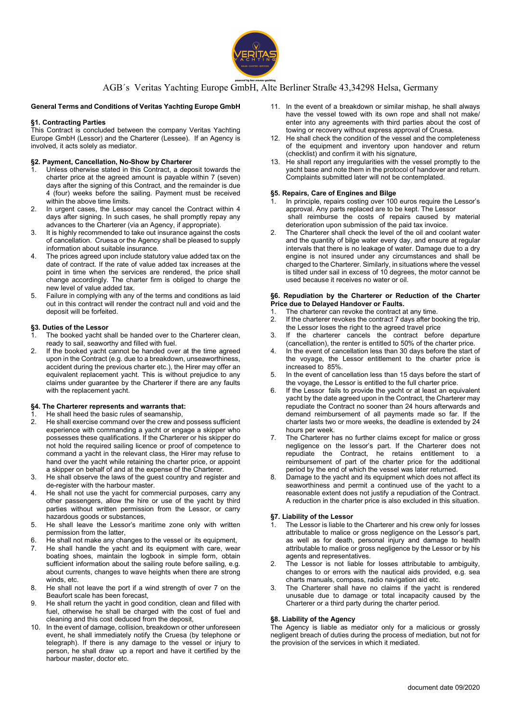

# AGB´s Veritas Yachting Europe GmbH, Alte Berliner Straße 43,34298 Helsa, Germany

# General Terms and Conditions of Veritas Yachting Europe GmbH

# §1. Contracting Parties

This Contract is concluded between the company Veritas Yachting Europe GmbH (Lessor) and the Charterer (Lessee). If an Agency is involved, it acts solely as mediator.

## §2. Payment, Cancellation, No-Show by Charterer

- Unless otherwise stated in this Contract, a deposit towards the charter price at the agreed amount is payable within 7 (seven) days after the signing of this Contract, and the remainder is due 4 (four) weeks before the sailing. Payment must be received within the above time limits.
- 2. In urgent cases, the Lessor may cancel the Contract within 4 days after signing. In such cases, he shall promptly repay any advances to the Charterer (via an Agency, if appropriate).
- 3. It is highly recommended to take out insurance against the costs of cancellation. Cruesa or the Agency shall be pleased to supply information about suitable insurance.
- 4. The prices agreed upon include statutory value added tax on the date of contract. If the rate of value added tax increases at the point in time when the services are rendered, the price shall change accordingly. The charter firm is obliged to charge the new level of value added tax.
- 5. Failure in complying with any of the terms and conditions as laid out in this contract will render the contract null and void and the deposit will be forfeited.

# §3. Duties of the Lessor

- The booked yacht shall be handed over to the Charterer clean. ready to sail, seaworthy and filled with fuel.
- 2. If the booked yacht cannot be handed over at the time agreed upon in the Contract (e.g. due to a breakdown, unseaworthiness, accident during the previous charter etc.), the Hirer may offer an equivalent replacement yacht. This is without prejudice to any claims under guarantee by the Charterer if there are any faults with the replacement yacht.

## §4. The Charterer represents and warrants that:

- $\overline{1}$ . He shall heed the basic rules of seamanship,<br>2. He shall exercise command over the crew and
- He shall exercise command over the crew and possess sufficient experience with commanding a yacht or engage a skipper who possesses these qualifications. If the Charterer or his skipper do not hold the required sailing licence or proof of competence to command a yacht in the relevant class, the Hirer may refuse to hand over the yacht while retaining the charter price, or appoint a skipper on behalf of and at the expense of the Charterer.
- 3. He shall observe the laws of the guest country and register and de-register with the harbour master.
- He shall not use the yacht for commercial purposes, carry any other passengers, allow the hire or use of the yacht by third parties without written permission from the Lessor, or carry hazardous goods or substances,
- 5. He shall leave the Lessor's maritime zone only with written permission from the latter
- 6. He shall not make any changes to the vessel or its equipment,
- 7. He shall handle the yacht and its equipment with care, wear boating shoes, maintain the logbook in simple form, obtain sufficient information about the sailing route before sailing, e.g. about currents, changes to wave heights when there are strong winds, etc.
- 8. He shall not leave the port if a wind strength of over 7 on the Beaufort scale has been forecast,
- 9. He shall return the yacht in good condition, clean and filled with fuel, otherwise he shall be charged with the cost of fuel and cleaning and this cost deduced from the deposit,
- 10. In the event of damage, collision, breakdown or other unforeseen event, he shall immediately notify the Cruesa (by telephone or telegraph). If there is any damage to the vessel or injury to person, he shall draw up a report and have it certified by the harbour master, doctor etc.
- 11. In the event of a breakdown or similar mishap, he shall always have the vessel towed with its own rope and shall not make/ enter into any agreements with third parties about the cost of towing or recovery without express approval of Cruesa.
- 12. He shall check the condition of the vessel and the completeness of the equipment and inventory upon handover and return (checklist) and confirm it with his signature,
- 13. He shall report any irregularities with the vessel promptly to the yacht base and note them in the protocol of handover and return. Complaints submitted later will not be contemplated.

# §5. Repairs, Care of Engines and Bilge

- In principle, repairs costing over 100 euros require the Lessor's approval. Any parts replaced are to be kept. The Lessor shall reimburse the costs of repairs caused by material deterioration upon submission of the paid tax invoice.
- 2. The Charterer shall check the level of the oil and coolant water and the quantity of bilge water every day, and ensure at regular intervals that there is no leakage of water. Damage due to a dry engine is not insured under any circumstances and shall be charged to the Charterer. Similarly, in situations where the vessel is tilted under sail in excess of 10 degrees, the motor cannot be used because it receives no water or oil.

#### §6. Repudiation by the Charterer or Reduction of the Charter Price due to Delayed Handover or Faults.

- 1. The charterer can revoke the contract at any time.
- 2. If the charterer revokes the contract 7 days after booking the trip, the Lessor loses the right to the agreed travel price
- 3. If the charterer cancels the contract before departure (cancellation), the renter is entitled to 50% of the charter price.
- In the event of cancellation less than 30 days before the start of the voyage, the Lessor entitlement to the charter price is increased to 85%.
- 5. In the event of cancellation less than 15 days before the start of the voyage, the Lessor is entitled to the full charter price.
- 6. If the Lessor fails to provide the yacht or at least an equivalent yacht by the date agreed upon in the Contract, the Charterer may repudiate the Contract no sooner than 24 hours afterwards and demand reimbursement of all payments made so far. If the charter lasts two or more weeks, the deadline is extended by 24 hours per week.
- The Charterer has no further claims except for malice or gross negligence on the lessor's part. If the Charterer does not repudiate the Contract, he retains entitlement to a reimbursement of part of the charter price for the additional period by the end of which the vessel was later returned.
- 8. Damage to the yacht and its equipment which does not affect its seaworthiness and permit a continued use of the yacht to a reasonable extent does not justify a repudiation of the Contract. A reduction in the charter price is also excluded in this situation.

# §7. Liability of the Lessor

- The Lessor is liable to the Charterer and his crew only for losses attributable to malice or gross negligence on the Lessor's part, as well as for death, personal injury and damage to health attributable to malice or gross negligence by the Lessor or by his agents and representatives.
- 2. The Lessor is not liable for losses attributable to ambiguity, changes to or errors with the nautical aids provided, e.g. sea charts manuals, compass, radio navigation aid etc.
- 3. The Charterer shall have no claims if the yacht is rendered unusable due to damage or total incapacity caused by the Charterer or a third party during the charter period.

## §8. Liability of the Agency

The Agency is liable as mediator only for a malicious or grossly negligent breach of duties during the process of mediation, but not for the provision of the services in which it mediated.